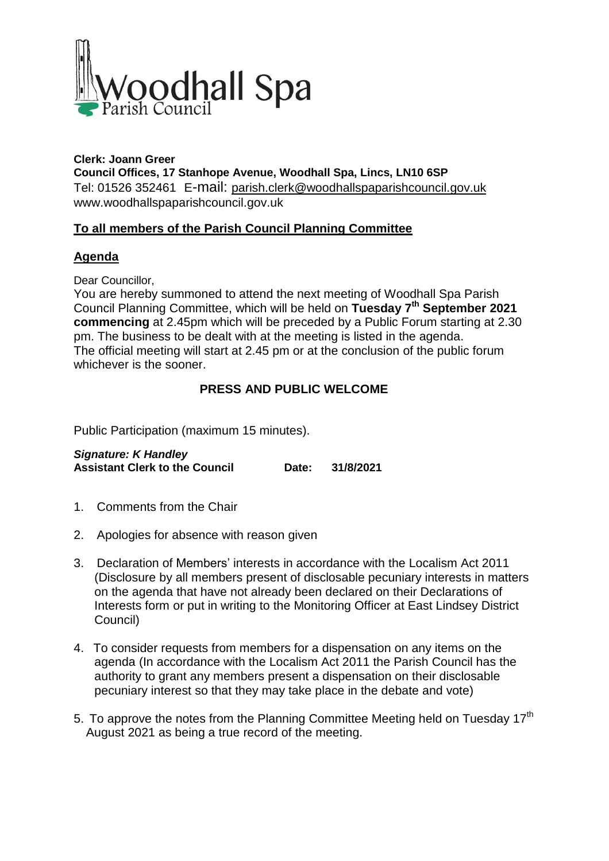

**Clerk: Joann Greer Council Offices, 17 Stanhope Avenue, Woodhall Spa, Lincs, LN10 6SP** Tel: 01526 352461 E-mail: parish.clerk@woodhallspaparishcouncil.gov.uk www.woodhallspaparishcouncil.gov.uk

## **To all members of the Parish Council Planning Committee**

## **Agenda**

Dear Councillor,

You are hereby summoned to attend the next meeting of Woodhall Spa Parish Council Planning Committee, which will be held on **Tuesday 7 th September 2021 commencing** at 2.45pm which will be preceded by a Public Forum starting at 2.30 pm. The business to be dealt with at the meeting is listed in the agenda. The official meeting will start at 2.45 pm or at the conclusion of the public forum whichever is the sooner.

## **PRESS AND PUBLIC WELCOME**

Public Participation (maximum 15 minutes).

*Signature: K Handley* **Assistant Clerk to the Council Date: 31/8/2021**

- 1. Comments from the Chair
- 2. Apologies for absence with reason given
- 3. Declaration of Members' interests in accordance with the Localism Act 2011 (Disclosure by all members present of disclosable pecuniary interests in matters on the agenda that have not already been declared on their Declarations of Interests form or put in writing to the Monitoring Officer at East Lindsey District Council)
- 4. To consider requests from members for a dispensation on any items on the agenda (In accordance with the Localism Act 2011 the Parish Council has the authority to grant any members present a dispensation on their disclosable pecuniary interest so that they may take place in the debate and vote)
- 5. To approve the notes from the Planning Committee Meeting held on Tuesday 17<sup>th</sup> August 2021 as being a true record of the meeting.